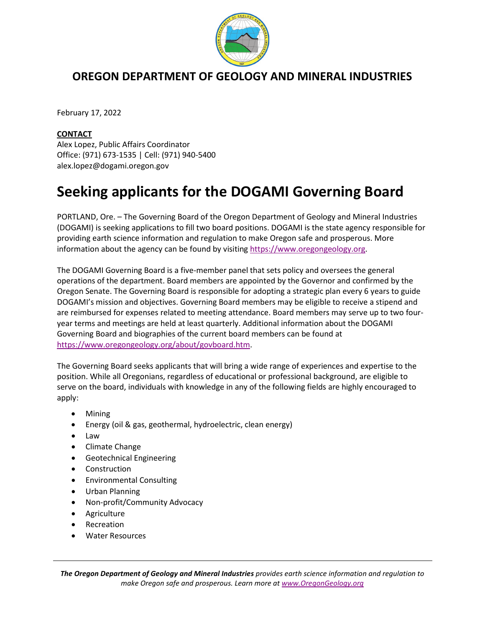

## **OREGON DEPARTMENT OF GEOLOGY AND MINERAL INDUSTRIES**

February 17, 2022

## **CONTACT**

Alex Lopez, Public Affairs Coordinator Office: (971) 673-1535 | Cell: (971) 940-5400 alex.lopez@dogami.oregon.gov

## **Seeking applicants for the DOGAMI Governing Board**

PORTLAND, Ore. – The Governing Board of the Oregon Department of Geology and Mineral Industries (DOGAMI) is seeking applications to fill two board positions. DOGAMI is the state agency responsible for providing earth science information and regulation to make Oregon safe and prosperous. More information about the agency can be found by visiting [https://www.oregongeology.org.](https://www.oregongeology.org/)

The DOGAMI Governing Board is a five-member panel that sets policy and oversees the general operations of the department. Board members are appointed by the Governor and confirmed by the Oregon Senate. The Governing Board is responsible for adopting a strategic plan every 6 years to guide DOGAMI's mission and objectives. Governing Board members may be eligible to receive a stipend and are reimbursed for expenses related to meeting attendance. Board members may serve up to two fouryear terms and meetings are held at least quarterly. Additional information about the DOGAMI Governing Board and biographies of the current board members can be found at [https://www.oregongeology.org/about/govboard.htm.](https://www.oregongeology.org/about/govboard.htm)

The Governing Board seeks applicants that will bring a wide range of experiences and expertise to the position. While all Oregonians, regardless of educational or professional background, are eligible to serve on the board, individuals with knowledge in any of the following fields are highly encouraged to apply:

- Mining
- Energy (oil & gas, geothermal, hydroelectric, clean energy)
- Law
- Climate Change
- Geotechnical Engineering
- Construction
- Environmental Consulting
- Urban Planning
- Non-profit/Community Advocacy
- Agriculture
- **Recreation**
- Water Resources

*The Oregon Department of Geology and Mineral Industries provides earth science information and regulation to make Oregon safe and prosperous. Learn more a[t www.OregonGeology.org](http://www.oregongeology.org/)*